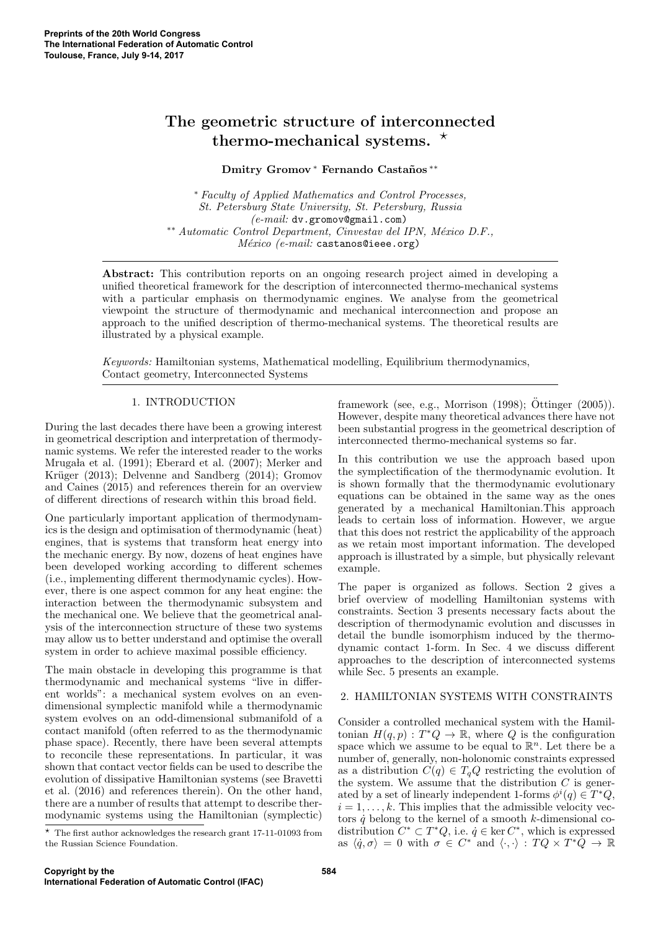# The geometric structure of interconnected thermo-mechanical systems.  $*$

# Dmitry Gromov<sup>\*</sup> Fernando Castaños<sup>\*\*</sup>

<sup>∗</sup> Faculty of Applied Mathematics and Control Processes, St. Petersburg State University, St. Petersburg, Russia  $(e-mail:$  dv.gromov@gmail.com) ∗∗ Automatic Control Department, Cinvestav del IPN, M´exico D.F.,  $México$  (e-mail: castanos@ieee.org)

Abstract: This contribution reports on an ongoing research project aimed in developing a unified theoretical framework for the description of interconnected thermo-mechanical systems with a particular emphasis on thermodynamic engines. We analyse from the geometrical viewpoint the structure of thermodynamic and mechanical interconnection and propose an approach to the unified description of thermo-mechanical systems. The theoretical results are illustrated by a physical example.

Keywords: Hamiltonian systems, Mathematical modelling, Equilibrium thermodynamics, Contact geometry, Interconnected Systems

# 1. INTRODUCTION

During the last decades there have been a growing interest in geometrical description and interpretation of thermodynamic systems. We refer the interested reader to the works Mrugała et al. (1991); Eberard et al. (2007); Merker and Krüger (2013); Delvenne and Sandberg (2014); Gromov and Caines (2015) and references therein for an overview of different directions of research within this broad field.

One particularly important application of thermodynamics is the design and optimisation of thermodynamic (heat) engines, that is systems that transform heat energy into the mechanic energy. By now, dozens of heat engines have been developed working according to different schemes (i.e., implementing different thermodynamic cycles). However, there is one aspect common for any heat engine: the interaction between the thermodynamic subsystem and the mechanical one. We believe that the geometrical analysis of the interconnection structure of these two systems may allow us to better understand and optimise the overall system in order to achieve maximal possible efficiency.

The main obstacle in developing this programme is that thermodynamic and mechanical systems "live in different worlds": a mechanical system evolves on an evendimensional symplectic manifold while a thermodynamic system evolves on an odd-dimensional submanifold of a contact manifold (often referred to as the thermodynamic phase space). Recently, there have been several attempts to reconcile these representations. In particular, it was shown that contact vector fields can be used to describe the evolution of dissipative Hamiltonian systems (see Bravetti et al. (2016) and references therein). On the other hand, there are a number of results that attempt to describe thermodynamic systems using the Hamiltonian (symplectic)

framework (see, e.g., Morrison  $(1998)$ ; Öttinger  $(2005)$ ). However, despite many theoretical advances there have not been substantial progress in the geometrical description of interconnected thermo-mechanical systems so far.

In this contribution we use the approach based upon the symplectification of the thermodynamic evolution. It is shown formally that the thermodynamic evolutionary equations can be obtained in the same way as the ones generated by a mechanical Hamiltonian.This approach leads to certain loss of information. However, we argue that this does not restrict the applicability of the approach as we retain most important information. The developed approach is illustrated by a simple, but physically relevant example.

The paper is organized as follows. Section 2 gives a brief overview of modelling Hamiltonian systems with constraints. Section 3 presents necessary facts about the description of thermodynamic evolution and discusses in detail the bundle isomorphism induced by the thermodynamic contact 1-form. In Sec. 4 we discuss different approaches to the description of interconnected systems while Sec. 5 presents an example.

## 2. HAMILTONIAN SYSTEMS WITH CONSTRAINTS

Consider a controlled mechanical system with the Hamiltonian  $H(q, p) : T^*Q \to \mathbb{R}$ , where Q is the configuration space which we assume to be equal to  $\mathbb{R}^n$ . Let there be a number of, generally, non-holonomic constraints expressed as a distribution  $C(q) \in T_qQ$  restricting the evolution of the system. We assume that the distribution  $C$  is generated by a set of linearly independent 1-forms  $\phi^{i}(q) \in T^{*}Q$ ,  $i = 1, \ldots, k$ . This implies that the admissible velocity vectors  $\dot{q}$  belong to the kernel of a smooth k-dimensional codistribution  $C^* \subset T^*Q$ , i.e.  $\dot{q} \in \ker C^*$ , which is expressed as  $\langle \dot{q}, \sigma \rangle = 0$  with  $\sigma \in C^*$  and  $\langle \cdot, \cdot \rangle : TQ \times T^*Q \to \mathbb{R}$ 

 $^\star\,$  The first author acknowledges the research grant 17-11-01093 from the Russian Science Foundation.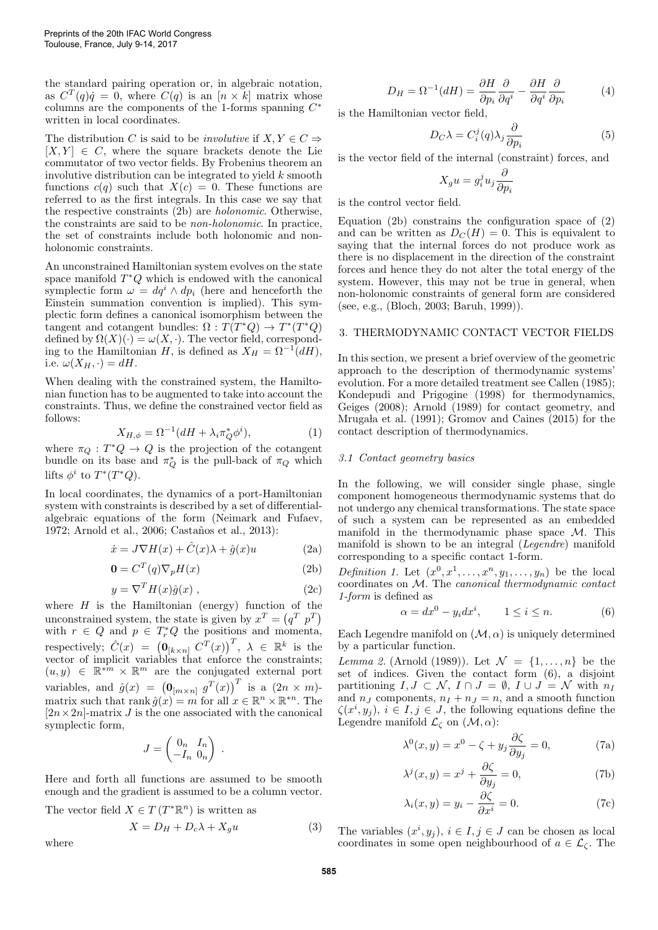the standard pairing operation or, in algebraic notation, as  $C^{T}(q)\dot{q} = 0$ , where  $C(q)$  is an  $[n \times k]$  matrix whose columns are the components of the 1-forms spanning  $C^*$ written in local coordinates.

The distribution C is said to be *involutive* if  $X, Y \in C \Rightarrow$  $[X, Y] \in C$ , where the square brackets denote the Lie commutator of two vector fields. By Frobenius theorem an involutive distribution can be integrated to yield  $k$  smooth functions  $c(q)$  such that  $X(c) = 0$ . These functions are referred to as the first integrals. In this case we say that the respective constraints (2b) are holonomic. Otherwise, the constraints are said to be non-holonomic. In practice, the set of constraints include both holonomic and nonholonomic constraints.

An unconstrained Hamiltonian system evolves on the state space manifold  $T^*Q$  which is endowed with the canonical symplectic form  $\omega = dq^i \wedge dp_i$  (here and henceforth the Einstein summation convention is implied). This symplectic form defines a canonical isomorphism between the tangent and cotangent bundles:  $\Omega: T(T^*Q) \to T^*(T^*Q)$ defined by  $\Omega(X)(\cdot) = \omega(X, \cdot)$ . The vector field, corresponding to the Hamiltonian H, is defined as  $X_H = \Omega^{-1}(dH)$ , i.e.  $\omega(X_H, \cdot) = dH$ .

When dealing with the constrained system, the Hamiltonian function has to be augmented to take into account the constraints. Thus, we define the constrained vector field as follows:

$$
X_{H,\phi} = \Omega^{-1}(dH + \lambda_i \pi_Q^* \phi^i),\tag{1}
$$

where  $\pi_Q: T^*Q \to Q$  is the projection of the cotangent bundle on its base and  $\pi_Q^*$  is the pull-back of  $\pi_Q$  which lifts  $\phi^i$  to  $T^*(T^*Q)$ .

In local coordinates, the dynamics of a port-Hamiltonian system with constraints is described by a set of differentialalgebraic equations of the form (Neimark and Fufaev, 1972; Arnold et al., 2006; Castaños et al., 2013):

$$
\dot{x} = J\nabla H(x) + \hat{C}(x)\lambda + \hat{g}(x)u
$$
 (2a)

$$
\mathbf{0} = C^T(q)\nabla_p H(x) \tag{2b}
$$

$$
y = \nabla^T H(x)\hat{g}(x) , \qquad (2c)
$$

where  $H$  is the Hamiltonian (energy) function of the unconstrained system, the state is given by  $x^T = (q^T p^T)$ with  $r \in Q$  and  $p \in T_r^*Q$  the positions and momenta, respectively;  $\hat{C}(x) = (\mathbf{0}_{[k \times n]} C^T(x))$ ,  $\lambda \in \mathbb{R}^k$  is the vector of implicit variables that enforce the constraints;  $(u, y) \in \mathbb{R}^m \times \mathbb{R}^m$  are the conjugated external port variables, and  $\hat{g}(x) = (\mathbf{0}_{m \times n}] g^T(x)$  is a  $(2n \times m)$ matrix such that rank  $\hat{g}(x) = m$  for all  $x \in \mathbb{R}^n \times \mathbb{R}^{n}$ . The  $[2n \times 2n]$ -matrix J is the one associated with the canonical symplectic form,

$$
J = \begin{pmatrix} 0_n & I_n \\ -I_n & 0_n \end{pmatrix} .
$$

Here and forth all functions are assumed to be smooth enough and the gradient is assumed to be a column vector.

The vector field 
$$
X \in T(T^*\mathbb{R}^n)
$$
 is written as

$$
X = D_H + D_c \lambda + X_g u \tag{3}
$$

where

$$
D_H = \Omega^{-1}(dH) = \frac{\partial H}{\partial p_i} \frac{\partial}{\partial q^i} - \frac{\partial H}{\partial q^i} \frac{\partial}{\partial p_i}
$$
(4)

is the Hamiltonian vector field,

$$
D_C \lambda = C_i^j(q) \lambda_j \frac{\partial}{\partial p_i}
$$
 (5)

is the vector field of the internal (constraint) forces, and

$$
X_g u = g_i^j u_j \frac{\partial}{\partial p_i}
$$

is the control vector field.

Equation (2b) constrains the configuration space of (2) and can be written as  $D<sub>C</sub>(H) = 0$ . This is equivalent to saying that the internal forces do not produce work as there is no displacement in the direction of the constraint forces and hence they do not alter the total energy of the system. However, this may not be true in general, when non-holonomic constraints of general form are considered (see, e.g., (Bloch, 2003; Baruh, 1999)).

# 3. THERMODYNAMIC CONTACT VECTOR FIELDS

In this section, we present a brief overview of the geometric approach to the description of thermodynamic systems' evolution. For a more detailed treatment see Callen (1985); Kondepudi and Prigogine (1998) for thermodynamics, Geiges (2008); Arnold (1989) for contact geometry, and Mrugada et al.  $(1991)$ ; Gromov and Caines  $(2015)$  for the contact description of thermodynamics.

## 3.1 Contact geometry basics

In the following, we will consider single phase, single component homogeneous thermodynamic systems that do not undergo any chemical transformations. The state space of such a system can be represented as an embedded manifold in the thermodynamic phase space  $\mathcal{M}$ . This manifold is shown to be an integral (Legendre) manifold corresponding to a specific contact 1-form.

Definition 1. Let  $(x^0, x^1, \ldots, x^n, y_1, \ldots, y_n)$  be the local coordinates on M. The canonical thermodynamic contact 1-form is defined as

$$
\alpha = dx^0 - y_i dx^i, \qquad 1 \le i \le n. \tag{6}
$$

Each Legendre manifold on  $(M, \alpha)$  is uniquely determined by a particular function.

Lemma 2. (Arnold (1989)). Let  $\mathcal{N} = \{1, \ldots, n\}$  be the set of indices. Given the contact form (6), a disjoint partitioning  $I, J \subset \mathcal{N}, I \cap J = \emptyset, I \cup J = \mathcal{N}$  with  $n_I$ and  $n_j$  components,  $n_l + n_j = n$ , and a smooth function  $\zeta(x^i, y_j), i \in I, j \in J$ , the following equations define the Legendre manifold  $\mathcal{L}_{\zeta}$  on  $(\mathcal{M}, \alpha)$ :

$$
\lambda^{0}(x, y) = x^{0} - \zeta + y_{j} \frac{\partial \zeta}{\partial y_{j}} = 0,
$$
\n(7a)

$$
\lambda^{j}(x, y) = x^{j} + \frac{\partial \zeta}{\partial y_{j}} = 0,
$$
\n(7b)

$$
\lambda_i(x, y) = y_i - \frac{\partial \zeta}{\partial x^i} = 0.
$$
 (7c)

The variables  $(x^i, y_j)$ ,  $i \in I, j \in J$  can be chosen as local coordinates in some open neighbourhood of  $a \in \mathcal{L}_{\zeta}$ . The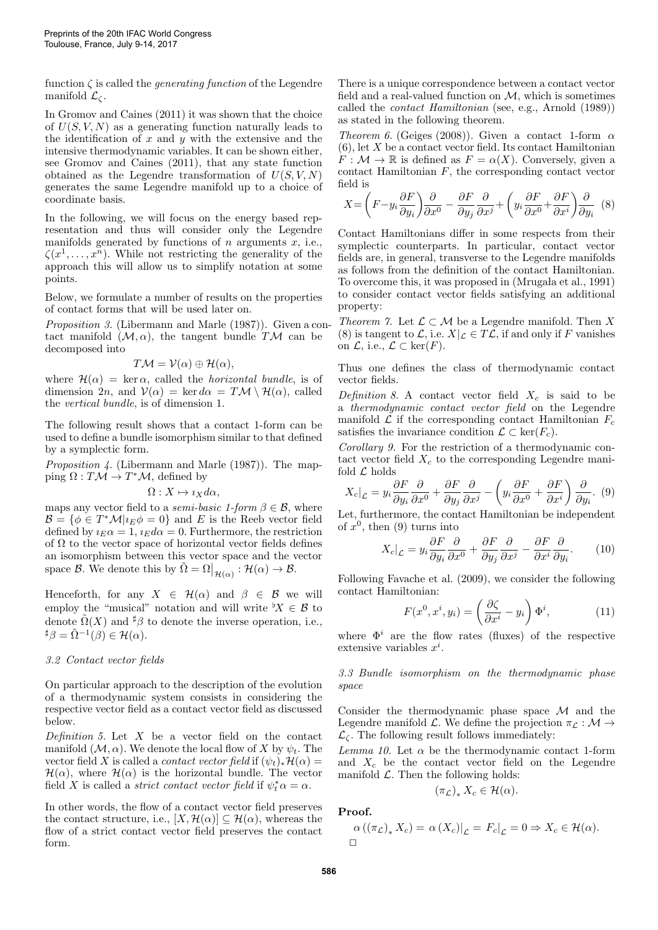function  $\zeta$  is called the *generating function* of the Legendre manifold  $\mathcal{L}_{\zeta}$ .

In Gromov and Caines (2011) it was shown that the choice of  $U(S, V, N)$  as a generating function naturally leads to the identification of  $x$  and  $y$  with the extensive and the intensive thermodynamic variables. It can be shown either, see Gromov and Caines (2011), that any state function obtained as the Legendre transformation of  $U(S, V, N)$ generates the same Legendre manifold up to a choice of coordinate basis.

In the following, we will focus on the energy based representation and thus will consider only the Legendre manifolds generated by functions of  $n$  arguments  $x$ , i.e.,  $\zeta(x^1,\ldots,x^n)$ . While not restricting the generality of the approach this will allow us to simplify notation at some points.

Below, we formulate a number of results on the properties of contact forms that will be used later on.

Proposition 3. (Libermann and Marle (1987)). Given a contact manifold  $(M, \alpha)$ , the tangent bundle TM can be decomposed into

$$
T\mathcal{M}=\mathcal{V}(\alpha)\oplus\mathcal{H}(\alpha),
$$

where  $\mathcal{H}(\alpha) = \ker \alpha$ , called the *horizontal bundle*, is of dimension 2n, and  $V(\alpha) = \ker d\alpha = T\mathcal{M} \setminus \mathcal{H}(\alpha)$ , called the vertical bundle, is of dimension 1.

The following result shows that a contact 1-form can be used to define a bundle isomorphism similar to that defined by a symplectic form.

Proposition 4. (Libermann and Marle (1987)). The mapping  $\Omega: T\mathcal{M} \to T^*\mathcal{M}$ , defined by

$$
\Omega: X \mapsto \iota_X d\alpha,
$$

maps any vector field to a *semi-basic 1-form*  $\beta \in \mathcal{B}$ , where  $\mathcal{B} = \{ \phi \in T^* \mathcal{M} | i_E \phi = 0 \}$  and E is the Reeb vector field defined by  $i_E \alpha = 1$ ,  $i_E d\alpha = 0$ . Furthermore, the restriction of  $\Omega$  to the vector space of horizontal vector fields defines an isomorphism between this vector space and the vector space  $\mathcal{B}$ . We denote this by  $\tilde{\Omega} = \Omega|_{\mathcal{H}(\alpha)} : \mathcal{H}(\alpha) \to \mathcal{B}$ .

Henceforth, for any  $X \in \mathcal{H}(\alpha)$  and  $\beta \in \mathcal{B}$  we will employ the "musical" notation and will write  $^{\flat}X \in \mathcal{B}$  to denote  $\tilde{\Omega}(X)$  and  $\sharp\beta$  to denote the inverse operation, i.e.,  $^{\sharp}\beta = \tilde{\Omega}^{-1}(\beta) \in \mathcal{H}(\alpha).$ 

## 3.2 Contact vector fields

On particular approach to the description of the evolution of a thermodynamic system consists in considering the respective vector field as a contact vector field as discussed below.

Definition 5. Let  $X$  be a vector field on the contact manifold  $(M, \alpha)$ . We denote the local flow of X by  $\psi_t$ . The vector field X is called a *contact vector field* if  $(\psi_t)_* \mathcal{H}(\alpha) =$  $\mathcal{H}(\alpha)$ , where  $\mathcal{H}(\alpha)$  is the horizontal bundle. The vector field X is called a *strict contact vector field* if  $\psi_t^* \alpha = \alpha$ .

In other words, the flow of a contact vector field preserves the contact structure, i.e.,  $[X, \mathcal{H}(\alpha)] \subseteq \mathcal{H}(\alpha)$ , whereas the flow of a strict contact vector field preserves the contact form.

There is a unique correspondence between a contact vector field and a real-valued function on  $M$ , which is sometimes called the contact Hamiltonian (see, e.g., Arnold (1989)) as stated in the following theorem.

Theorem 6. (Geiges (2008)). Given a contact 1-form  $\alpha$  $(6)$ , let X be a contact vector field. Its contact Hamiltonian  $F : \mathcal{M} \to \mathbb{R}$  is defined as  $F = \alpha(X)$ . Conversely, given a  $\alpha$  Equals to Hamiltonian  $F$ , the corresponding contact vector field is

$$
X = \left(F - y_i \frac{\partial F}{\partial y_i}\right) \frac{\partial}{\partial x^0} - \frac{\partial F}{\partial y_j} \frac{\partial}{\partial x^j} + \left(y_i \frac{\partial F}{\partial x^0} + \frac{\partial F}{\partial x^i}\right) \frac{\partial}{\partial y_i} \tag{8}
$$

Contact Hamiltonians differ in some respects from their symplectic counterparts. In particular, contact vector fields are, in general, transverse to the Legendre manifolds as follows from the definition of the contact Hamiltonian. To overcome this, it was proposed in (Mrugala et al., 1991) to consider contact vector fields satisfying an additional property:

Theorem 7. Let  $\mathcal{L} \subset \mathcal{M}$  be a Legendre manifold. Then X (8) is tangent to  $\mathcal{L}$ , i.e.  $X|_{\mathcal{L}} \in T\mathcal{L}$ , if and only if F vanishes on  $\mathcal{L}$ , i.e.,  $\mathcal{L} \subset \ker(F)$ .

Thus one defines the class of thermodynamic contact vector fields.

Definition 8. A contact vector field  $X_c$  is said to be a thermodynamic contact vector field on the Legendre manifold  $\mathcal L$  if the corresponding contact Hamiltonian  $F_c$ satisfies the invariance condition  $\mathcal{L} \subset \text{ker}(F_c)$ .

Corollary 9. For the restriction of a thermodynamic contact vector field  $X_c$  to the corresponding Legendre manifold  $L$  holds

$$
X_c|_{\mathcal{L}} = y_i \frac{\partial F}{\partial y_i} \frac{\partial}{\partial x^0} + \frac{\partial F}{\partial y_j} \frac{\partial}{\partial x^j} - \left( y_i \frac{\partial F}{\partial x^0} + \frac{\partial F}{\partial x^i} \right) \frac{\partial}{\partial y_i}.
$$
 (9)

Let, furthermore, the contact Hamiltonian be independent of  $x^0$ , then (9) turns into

$$
X_c|_{\mathcal{L}} = y_i \frac{\partial F}{\partial y_i} \frac{\partial}{\partial x^0} + \frac{\partial F}{\partial y_j} \frac{\partial}{\partial x^j} - \frac{\partial F}{\partial x^i} \frac{\partial}{\partial y_i}.
$$
 (10)

Following Favache et al. (2009), we consider the following contact Hamiltonian:

$$
F(x^{0}, x^{i}, y_{i}) = \left(\frac{\partial \zeta}{\partial x^{i}} - y_{i}\right) \Phi^{i}, \qquad (11)
$$

where  $\Phi^i$  are the flow rates (fluxes) of the respective extensive variables  $x^i$ .

3.3 Bundle isomorphism on the thermodynamic phase space

Consider the thermodynamic phase space  $\mathcal M$  and the Legendre manifold L. We define the projection  $\pi_{\mathcal{L}} : \mathcal{M} \to$  $\mathcal{L}_{\zeta}$ . The following result follows immediately:

Lemma 10. Let  $\alpha$  be the thermodynamic contact 1-form and  $X_c$  be the contact vector field on the Legendre manifold  $\mathcal{L}$ . Then the following holds:

 $(\pi_{\mathcal{L}})_* X_c \in \mathcal{H}(\alpha).$ 

Proof.

$$
\alpha ((\pi_{\mathcal{L}})_* X_c) = \alpha (X_c)|_{\mathcal{L}} = F_c|_{\mathcal{L}} = 0 \Rightarrow X_c \in \mathcal{H}(\alpha).
$$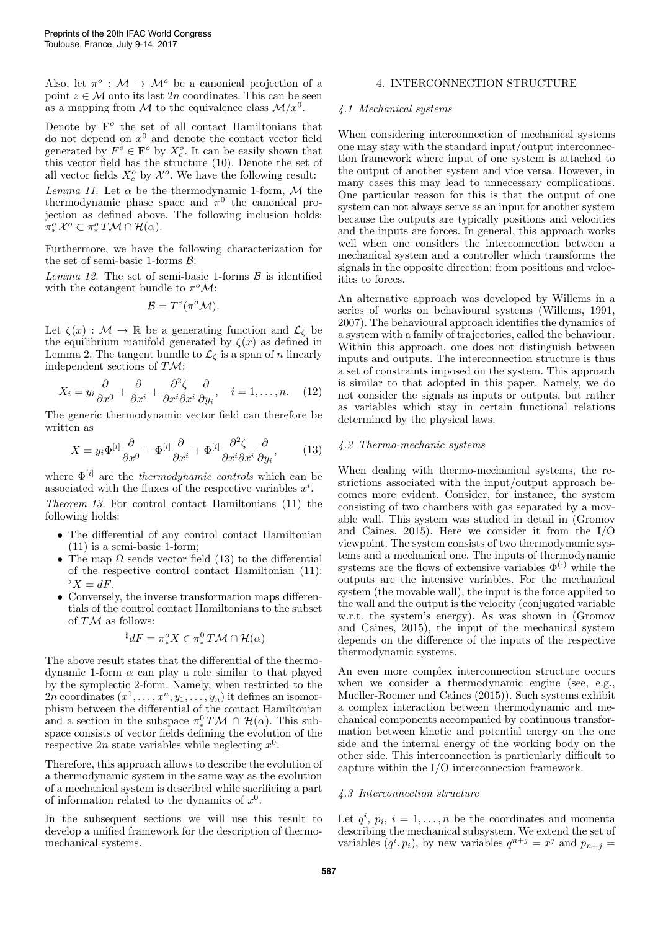Also, let  $\pi^o$ :  $\mathcal{M} \to \mathcal{M}^o$  be a canonical projection of a point  $z \in \mathcal{M}$  onto its last 2n coordinates. This can be seen as a mapping from M to the equivalence class  $\mathcal{M}/x^0$ .

Denote by  $\mathbf{F}^o$  the set of all contact Hamiltonians that do not depend on  $x^0$  and denote the contact vector field generated by  $F^o \in \mathbf{F}^o$  by  $X_c^o$ . It can be easily shown that this vector field has the structure (10). Denote the set of all vector fields  $X_c^o$  by  $\mathcal{X}^o$ . We have the following result: Lemma 11. Let  $\alpha$  be the thermodynamic 1-form, M the thermodynamic phase space and  $\pi^0$  the canonical projection as defined above. The following inclusion holds:  $\pi_*^o \mathcal{X}^o \subset \pi_*^o \mathcal{T} \mathcal{M} \cap \mathcal{H}(\alpha).$ 

Furthermore, we have the following characterization for the set of semi-basic 1-forms  $\mathcal{B}$ :

Lemma 12. The set of semi-basic 1-forms  $\beta$  is identified with the cotangent bundle to  $\pi^o \mathcal{M}$ :

$$
\mathcal{B}=T^*(\pi^o\mathcal{M}).
$$

Let  $\zeta(x) : \mathcal{M} \to \mathbb{R}$  be a generating function and  $\mathcal{L}_{\zeta}$  be the equilibrium manifold generated by  $\zeta(x)$  as defined in Lemma 2. The tangent bundle to  $\mathcal{L}_{\zeta}$  is a span of n linearly independent sections of TM:

$$
X_i = y_i \frac{\partial}{\partial x^0} + \frac{\partial}{\partial x^i} + \frac{\partial^2 \zeta}{\partial x^i \partial x^i} \frac{\partial}{\partial y_i}, \quad i = 1, \dots, n. \quad (12)
$$

The generic thermodynamic vector field can therefore be written as

$$
X = y_i \Phi^{[i]} \frac{\partial}{\partial x^0} + \Phi^{[i]} \frac{\partial}{\partial x^i} + \Phi^{[i]} \frac{\partial^2 \zeta}{\partial x^i \partial x^i} \frac{\partial}{\partial y_i},\qquad(13)
$$

where  $\Phi^{[i]}$  are the *thermodynamic controls* which can be associated with the fluxes of the respective variables  $x^i$ .

Theorem 13. For control contact Hamiltonians (11) the following holds:

- The differential of any control contact Hamiltonian (11) is a semi-basic 1-form;
- The map  $\Omega$  sends vector field (13) to the differential of the respective control contact Hamiltonian (11):  $\overline{X} = dF$ .
- Conversely, the inverse transformation maps differentials of the control contact Hamiltonians to the subset of  $T\mathcal{M}$  as follows:

$$
{}^{\sharp}dF=\pi_{*}^oX\in\pi_{*}^0\,T\mathcal{M}\cap\mathcal{H}(\alpha)
$$

The above result states that the differential of the thermodynamic 1-form  $\alpha$  can play a role similar to that played by the symplectic 2-form. Namely, when restricted to the 2n coordinates  $(x^1, \ldots, x^n, y_1, \ldots, y_n)$  it defines an isomorphism between the differential of the contact Hamiltonian and a section in the subspace  $\pi^0_* T\mathcal{M} \cap \mathcal{H}(\alpha)$ . This subspace consists of vector fields defining the evolution of the respective 2n state variables while neglecting  $x^0$ .

Therefore, this approach allows to describe the evolution of a thermodynamic system in the same way as the evolution of a mechanical system is described while sacrificing a part of information related to the dynamics of  $x^0$ .

In the subsequent sections we will use this result to develop a unified framework for the description of thermomechanical systems.

## 4. INTERCONNECTION STRUCTURE

#### 4.1 Mechanical systems

When considering interconnection of mechanical systems one may stay with the standard input/output interconnection framework where input of one system is attached to the output of another system and vice versa. However, in many cases this may lead to unnecessary complications. One particular reason for this is that the output of one system can not always serve as an input for another system because the outputs are typically positions and velocities and the inputs are forces. In general, this approach works well when one considers the interconnection between a mechanical system and a controller which transforms the signals in the opposite direction: from positions and velocities to forces.

An alternative approach was developed by Willems in a series of works on behavioural systems (Willems, 1991, 2007). The behavioural approach identifies the dynamics of a system with a family of trajectories, called the behaviour. Within this approach, one does not distinguish between inputs and outputs. The interconnection structure is thus a set of constraints imposed on the system. This approach is similar to that adopted in this paper. Namely, we do not consider the signals as inputs or outputs, but rather as variables which stay in certain functional relations determined by the physical laws.

#### 4.2 Thermo-mechanic systems

When dealing with thermo-mechanical systems, the restrictions associated with the input/output approach becomes more evident. Consider, for instance, the system consisting of two chambers with gas separated by a movable wall. This system was studied in detail in (Gromov and Caines, 2015). Here we consider it from the I/O viewpoint. The system consists of two thermodynamic systems and a mechanical one. The inputs of thermodynamic systems are the flows of extensive variables  $\Phi^{(\cdot)}$  while the outputs are the intensive variables. For the mechanical system (the movable wall), the input is the force applied to the wall and the output is the velocity (conjugated variable w.r.t. the system's energy). As was shown in (Gromov and Caines, 2015), the input of the mechanical system depends on the difference of the inputs of the respective thermodynamic systems.

An even more complex interconnection structure occurs when we consider a thermodynamic engine (see, e.g., Mueller-Roemer and Caines (2015)). Such systems exhibit a complex interaction between thermodynamic and mechanical components accompanied by continuous transformation between kinetic and potential energy on the one side and the internal energy of the working body on the other side. This interconnection is particularly difficult to capture within the I/O interconnection framework.

## 4.3 Interconnection structure

Let  $q^i$ ,  $p_i$ ,  $i = 1, ..., n$  be the coordinates and momenta describing the mechanical subsystem. We extend the set of variables  $(q^i, p_i)$ , by new variables  $q^{n+j} = x^j$  and  $p_{n+j} =$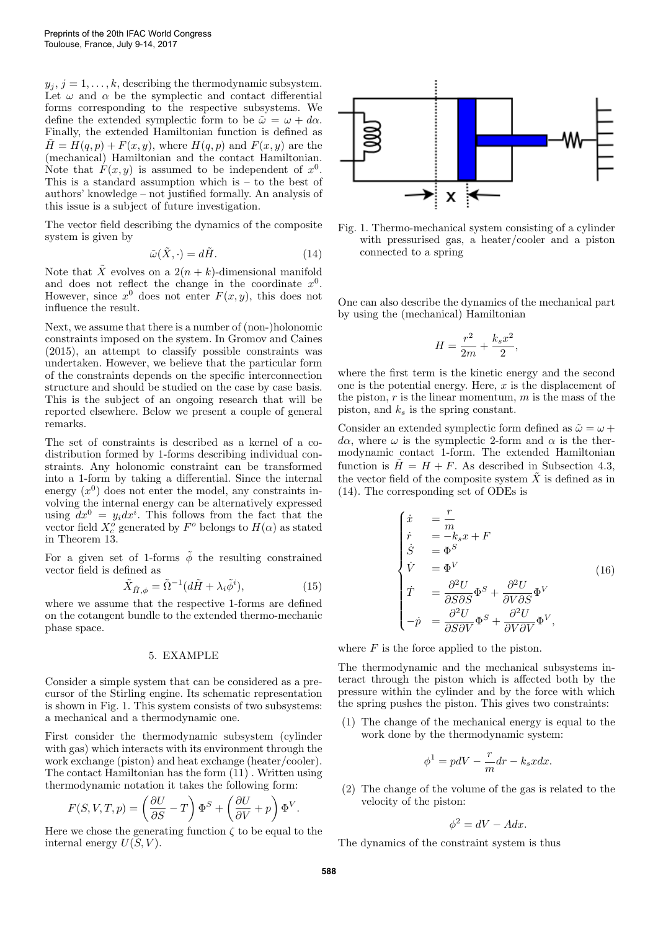$y_j, j = 1, \ldots, k$ , describing the thermodynamic subsystem. Let  $\omega$  and  $\alpha$  be the symplectic and contact differential forms corresponding to the respective subsystems. We define the extended symplectic form to be  $\tilde{\omega} = \omega + d\alpha$ . Finally, the extended Hamiltonian function is defined as  $H = H(q, p) + F(x, y)$ , where  $H(q, p)$  and  $F(x, y)$  are the (mechanical) Hamiltonian and the contact Hamiltonian. Note that  $F(x, y)$  is assumed to be independent of  $x^0$ . This is a standard assumption which is  $-$  to the best of authors' knowledge – not justified formally. An analysis of this issue is a subject of future investigation.

The vector field describing the dynamics of the composite system is given by

$$
\tilde{\omega}(\tilde{X}, \cdot) = d\tilde{H}.\tag{14}
$$

Note that  $\tilde{X}$  evolves on a  $2(n+k)$ -dimensional manifold and does not reflect the change in the coordinate  $x^0$ . However, since  $x^0$  does not enter  $F(x, y)$ , this does not influence the result.

Next, we assume that there is a number of (non-)holonomic constraints imposed on the system. In Gromov and Caines (2015), an attempt to classify possible constraints was undertaken. However, we believe that the particular form of the constraints depends on the specific interconnection structure and should be studied on the case by case basis. This is the subject of an ongoing research that will be reported elsewhere. Below we present a couple of general remarks.

The set of constraints is described as a kernel of a codistribution formed by 1-forms describing individual constraints. Any holonomic constraint can be transformed into a 1-form by taking a differential. Since the internal energy  $(x^0)$  does not enter the model, any constraints involving the internal energy can be alternatively expressed using  $dx^0 = y_i dx^i$ . This follows from the fact that the vector field  $X_c^o$  generated by  $F^o$  belongs to  $H(\alpha)$  as stated in Theorem 13.

For a given set of 1-forms  $\phi$  the resulting constrained vector field is defined as

$$
\tilde{X}_{\tilde{H},\phi} = \tilde{\Omega}^{-1}(d\tilde{H} + \lambda_i \tilde{\phi}^i),\tag{15}
$$

where we assume that the respective 1-forms are defined on the cotangent bundle to the extended thermo-mechanic phase space.

## 5. EXAMPLE

Consider a simple system that can be considered as a precursor of the Stirling engine. Its schematic representation is shown in Fig. 1. This system consists of two subsystems: a mechanical and a thermodynamic one.

First consider the thermodynamic subsystem (cylinder with gas) which interacts with its environment through the work exchange (piston) and heat exchange (heater/cooler). The contact Hamiltonian has the form (11) . Written using thermodynamic notation it takes the following form:

$$
F(S, V, T, p) = \left(\frac{\partial U}{\partial S} - T\right) \Phi^S + \left(\frac{\partial U}{\partial V} + p\right) \Phi^V.
$$

Here we chose the generating function  $\zeta$  to be equal to the internal energy  $U(S, V)$ .



Fig. 1. Thermo-mechanical system consisting of a cylinder with pressurised gas, a heater/cooler and a piston connected to a spring

One can also describe the dynamics of the mechanical part by using the (mechanical) Hamiltonian

$$
H = \frac{r^2}{2m} + \frac{k_s x^2}{2},
$$

where the first term is the kinetic energy and the second one is the potential energy. Here,  $x$  is the displacement of the piston,  $r$  is the linear momentum,  $m$  is the mass of the piston, and  $k<sub>s</sub>$  is the spring constant.

Consider an extended symplectic form defined as  $\tilde{\omega} = \omega +$  $d\alpha$ , where  $\omega$  is the symplectic 2-form and  $\alpha$  is the thermodynamic contact 1-form. The extended Hamiltonian function is  $\tilde{H} = H + F$ . As described in Subsection 4.3, the vector field of the composite system  $\tilde{X}$  is defined as in (14). The corresponding set of ODEs is

$$
\begin{cases}\n\dot{x} &= \frac{r}{m} \\
\dot{r} &= -k_s x + F \\
\dot{S} &= \Phi^S \\
\dot{V} &= \Phi^V \\
\dot{T} &= \frac{\partial^2 U}{\partial S \partial S} \Phi^S + \frac{\partial^2 U}{\partial V \partial S} \Phi^V \\
-\dot{p} &= \frac{\partial^2 U}{\partial S \partial V} \Phi^S + \frac{\partial^2 U}{\partial V \partial V} \Phi^V,\n\end{cases}
$$
\n(16)

where  $F$  is the force applied to the piston.

The thermodynamic and the mechanical subsystems interact through the piston which is affected both by the pressure within the cylinder and by the force with which the spring pushes the piston. This gives two constraints:

(1) The change of the mechanical energy is equal to the work done by the thermodynamic system:

$$
\phi^1 = pdV - \frac{r}{m}dr - k_s x dx.
$$

(2) The change of the volume of the gas is related to the velocity of the piston:

$$
\phi^2 = dV - A dx.
$$

The dynamics of the constraint system is thus